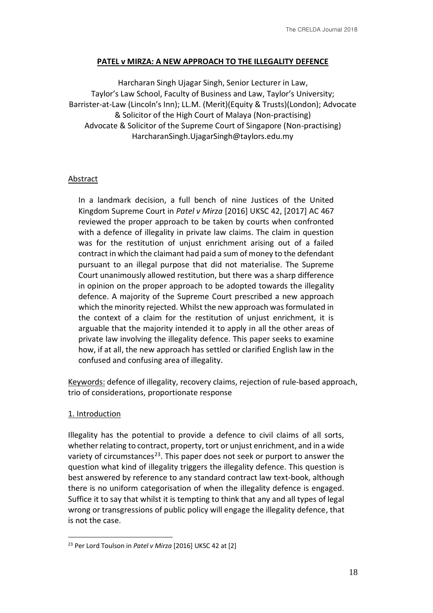## **PATEL v MIRZA: A NEW APPROACH TO THE ILLEGALITY DEFENCE**

Harcharan Singh Ujagar Singh, Senior Lecturer in Law, Taylor's Law School, Faculty of Business and Law, Taylor's University; Barrister-at-Law (Lincoln's Inn); LL.M. (Merit)(Equity & Trusts)(London); Advocate & Solicitor of the High Court of Malaya (Non-practising) Advocate & Solicitor of the Supreme Court of Singapore (Non-practising) HarcharanSingh.UjagarSingh@taylors.edu.my

## Abstract

In a landmark decision, a full bench of nine Justices of the United Kingdom Supreme Court in *Patel v Mirza* [2016] UKSC 42, [2017] AC 467 reviewed the proper approach to be taken by courts when confronted with a defence of illegality in private law claims. The claim in question was for the restitution of unjust enrichment arising out of a failed contract in which the claimant had paid a sum of money to the defendant pursuant to an illegal purpose that did not materialise. The Supreme Court unanimously allowed restitution, but there was a sharp difference in opinion on the proper approach to be adopted towards the illegality defence. A majority of the Supreme Court prescribed a new approach which the minority rejected. Whilst the new approach was formulated in the context of a claim for the restitution of unjust enrichment, it is arguable that the majority intended it to apply in all the other areas of private law involving the illegality defence. This paper seeks to examine how, if at all, the new approach has settled or clarified English law in the confused and confusing area of illegality.

Keywords: defence of illegality, recovery claims, rejection of rule-based approach, trio of considerations, proportionate response

### 1. Introduction

<u>.</u>

Illegality has the potential to provide a defence to civil claims of all sorts, whether relating to contract, property, tort or unjust enrichment, and in a wide variety of circumstances<sup>23</sup>. This paper does not seek or purport to answer the question what kind of illegality triggers the illegality defence. This question is best answered by reference to any standard contract law text-book, although there is no uniform categorisation of when the illegality defence is engaged. Suffice it to say that whilst it is tempting to think that any and all types of legal wrong or transgressions of public policy will engage the illegality defence, that is not the case.

<sup>23</sup> Per Lord Toulson in *Patel v Mirza* [2016] UKSC 42 at [2]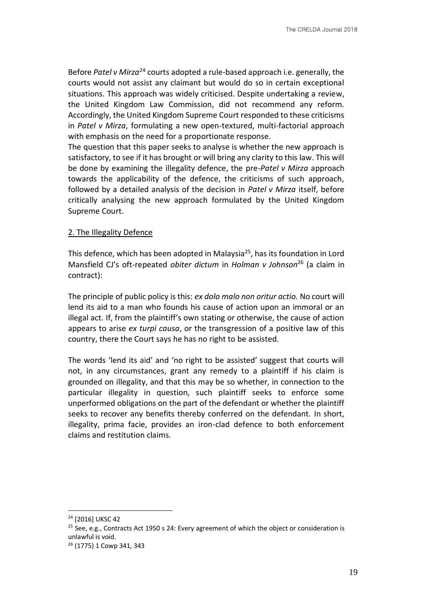Before *Patel v Mirza*<sup>24</sup> courts adopted a rule-based approach i.e. generally, the courts would not assist any claimant but would do so in certain exceptional situations. This approach was widely criticised. Despite undertaking a review, the United Kingdom Law Commission, did not recommend any reform. Accordingly, the United Kingdom Supreme Court responded to these criticisms in *Patel v Mirza*, formulating a new open-textured, multi-factorial approach with emphasis on the need for a proportionate response.

The question that this paper seeks to analyse is whether the new approach is satisfactory, to see if it has brought or will bring any clarity to this law. This will be done by examining the illegality defence, the pre-*Patel v Mirza* approach towards the applicability of the defence, the criticisms of such approach, followed by a detailed analysis of the decision in *Patel v Mirza* itself, before critically analysing the new approach formulated by the United Kingdom Supreme Court.

### 2. The Illegality Defence

This defence, which has been adopted in Malaysia<sup>25</sup>, has its foundation in Lord Mansfield CJ's oft-repeated *obiter dictum* in *Holman v Johnson*<sup>26</sup> (a claim in contract):

The principle of public policy is this: *ex dolo malo non oritur actio.* No court will lend its aid to a man who founds his cause of action upon an immoral or an illegal act. If, from the plaintiff's own stating or otherwise, the cause of action appears to arise *ex turpi causa*, or the transgression of a positive law of this country, there the Court says he has no right to be assisted.

The words 'lend its aid' and 'no right to be assisted' suggest that courts will not, in any circumstances, grant any remedy to a plaintiff if his claim is grounded on illegality, and that this may be so whether, in connection to the particular illegality in question, such plaintiff seeks to enforce some unperformed obligations on the part of the defendant or whether the plaintiff seeks to recover any benefits thereby conferred on the defendant. In short, illegality, prima facie, provides an iron-clad defence to both enforcement claims and restitution claims.

<sup>&</sup>lt;sup>24</sup> [2016] UKSC 42

 $25$  See, e.g., Contracts Act 1950 s 24: Every agreement of which the object or consideration is unlawful is void.

<sup>26</sup> (1775) 1 Cowp 341, 343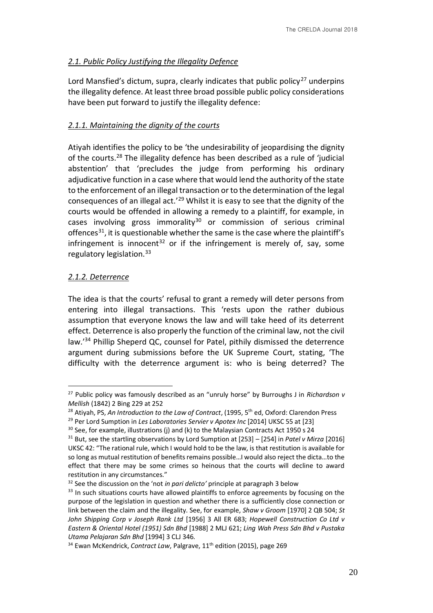# *2.1. Public Policy Justifying the Illegality Defence*

Lord Mansfied's dictum, supra, clearly indicates that public policy<sup>27</sup> underpins the illegality defence. At least three broad possible public policy considerations have been put forward to justify the illegality defence:

# *2.1.1. Maintaining the dignity of the courts*

Atiyah identifies the policy to be 'the undesirability of jeopardising the dignity of the courts.<sup>28</sup> The illegality defence has been described as a rule of 'judicial abstention' that 'precludes the judge from performing his ordinary adjudicative function in a case where that would lend the authority of the state to the enforcement of an illegal transaction or to the determination of the legal consequences of an illegal act.<sup> $29$ </sup> Whilst it is easy to see that the dignity of the courts would be offended in allowing a remedy to a plaintiff, for example, in cases involving gross immorality<sup>30</sup> or commission of serious criminal offences<sup>31</sup>, it is questionable whether the same is the case where the plaintiff's infringement is innocent<sup>32</sup> or if the infringement is merely of, say, some regulatory legislation.<sup>33</sup>

## *2.1.2. Deterrence*

1

The idea is that the courts' refusal to grant a remedy will deter persons from entering into illegal transactions. This 'rests upon the rather dubious assumption that everyone knows the law and will take heed of its deterrent effect. Deterrence is also properly the function of the criminal law, not the civil law.'<sup>34</sup> Phillip Sheperd QC, counsel for Patel, pithily dismissed the deterrence argument during submissions before the UK Supreme Court, stating, 'The difficulty with the deterrence argument is: who is being deterred? The

<sup>27</sup> Public policy was famously described as an "unruly horse" by Burroughs J in *Richardson v Mellish* (1842) 2 Bing 229 at 252

<sup>&</sup>lt;sup>28</sup> Atiyah, PS, An Introduction to the Law of Contract, (1995, 5<sup>th</sup> ed, Oxford: Clarendon Press

<sup>&</sup>lt;sup>29</sup> Per Lord Sumption in *Les Laboratories Servier v Apotex Inc* [2014] UKSC 55 at [23]

 $30$  See, for example, illustrations (j) and (k) to the Malaysian Contracts Act 1950 s 24

<sup>31</sup> But, see the startling observations by Lord Sumption at [253] – [254] in *Patel v Mirza* [2016] UKSC 42: "The rational rule, which I would hold to be the law, is that restitution is available for so long as mutual restitution of benefits remains possible…I would also reject the dicta…to the effect that there may be some crimes so heinous that the courts will decline to award restitution in any circumstances."

<sup>32</sup> See the discussion on the 'not *in pari delicto'* principle at paragraph 3 below

 $33$  In such situations courts have allowed plaintiffs to enforce agreements by focusing on the purpose of the legislation in question and whether there is a sufficiently close connection or link between the claim and the illegality. See, for example, *Shaw v Groom* [1970] 2 QB 504; *St John Shipping Corp v Joseph Rank Ltd* [1956] 3 All ER 683; *Hopewell Construction Co Ltd v Eastern & Oriental Hotel (1951) Sdn Bhd* [1988] 2 MLJ 621; *Ling Wah Press Sdn Bhd v Pustaka Utama Pelajaran Sdn Bhd* [1994] 3 CLJ 346.

<sup>&</sup>lt;sup>34</sup> Ewan McKendrick, *Contract Law*, Palgrave, 11<sup>th</sup> edition (2015), page 269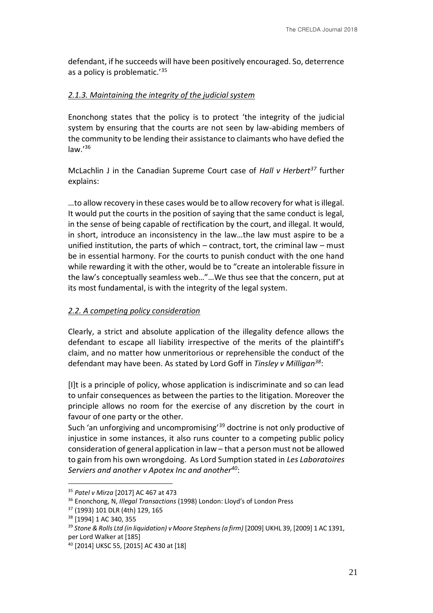defendant, if he succeeds will have been positively encouraged. So, deterrence as a policy is problematic.'<sup>35</sup>

# *2.1.3. Maintaining the integrity of the judicial system*

Enonchong states that the policy is to protect 'the integrity of the judicial system by ensuring that the courts are not seen by law-abiding members of the community to be lending their assistance to claimants who have defied the law.'<sup>36</sup>

McLachlin J in the Canadian Supreme Court case of *Hall v Herbert<sup>37</sup>* further explains:

…to allow recovery in these cases would be to allow recovery for what is illegal. It would put the courts in the position of saying that the same conduct is legal, in the sense of being capable of rectification by the court, and illegal. It would, in short, introduce an inconsistency in the law…the law must aspire to be a unified institution, the parts of which – contract, tort, the criminal law – must be in essential harmony. For the courts to punish conduct with the one hand while rewarding it with the other, would be to "create an intolerable fissure in the law's conceptually seamless web…"…We thus see that the concern, put at its most fundamental, is with the integrity of the legal system.

# *2.2. A competing policy consideration*

Clearly, a strict and absolute application of the illegality defence allows the defendant to escape all liability irrespective of the merits of the plaintiff's claim, and no matter how unmeritorious or reprehensible the conduct of the defendant may have been. As stated by Lord Goff in *Tinsley v Milligan<sup>38</sup>*:

[I]t is a principle of policy, whose application is indiscriminate and so can lead to unfair consequences as between the parties to the litigation. Moreover the principle allows no room for the exercise of any discretion by the court in favour of one party or the other.

Such 'an unforgiving and uncompromising'<sup>39</sup> doctrine is not only productive of injustice in some instances, it also runs counter to a competing public policy consideration of general application in law – that a person must not be allowed to gain from his own wrongdoing. As Lord Sumption stated in *Les Laboratoires Serviers and another v Apotex Inc and another<sup>40</sup>*:

<sup>35</sup> *Patel v Mirza* [2017] AC 467 at 473

<sup>36</sup> Enonchong, N, *Illegal Transactions* (1998) London: Lloyd's of London Press

<sup>37</sup> (1993) 101 DLR (4th) 129, 165

<sup>38</sup> [1994] 1 AC 340, 355

<sup>39</sup> *Stone & Rolls Ltd (in liquidation) v Moore Stephens (a firm)* [2009] UKHL 39, [2009] 1 AC 1391, per Lord Walker at [185]

<sup>40</sup> [2014] UKSC 55, [2015] AC 430 at [18]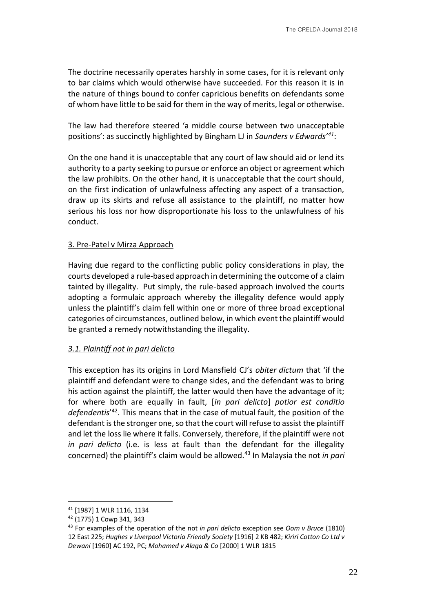The doctrine necessarily operates harshly in some cases, for it is relevant only to bar claims which would otherwise have succeeded. For this reason it is in the nature of things bound to confer capricious benefits on defendants some of whom have little to be said for them in the way of merits, legal or otherwise.

The law had therefore steered 'a middle course between two unacceptable positions': as succinctly highlighted by Bingham LJ in *Saunders v Edwards'<sup>41</sup>*:

On the one hand it is unacceptable that any court of law should aid or lend its authority to a party seeking to pursue or enforce an object or agreement which the law prohibits. On the other hand, it is unacceptable that the court should, on the first indication of unlawfulness affecting any aspect of a transaction, draw up its skirts and refuse all assistance to the plaintiff, no matter how serious his loss nor how disproportionate his loss to the unlawfulness of his conduct.

### 3. Pre-Patel v Mirza Approach

Having due regard to the conflicting public policy considerations in play, the courts developed a rule-based approach in determining the outcome of a claim tainted by illegality. Put simply, the rule-based approach involved the courts adopting a formulaic approach whereby the illegality defence would apply unless the plaintiff's claim fell within one or more of three broad exceptional categories of circumstances, outlined below, in which event the plaintiff would be granted a remedy notwithstanding the illegality.

### *3.1. Plaintiff not in pari delicto*

This exception has its origins in Lord Mansfield CJ's *obiter dictum* that 'if the plaintiff and defendant were to change sides, and the defendant was to bring his action against the plaintiff, the latter would then have the advantage of it; for where both are equally in fault, [*in pari delicto*] *potior est conditio defendentis*' <sup>42</sup>. This means that in the case of mutual fault, the position of the defendant is the stronger one, so that the court will refuse to assist the plaintiff and let the loss lie where it falls. Conversely, therefore, if the plaintiff were not *in pari delicto* (i.e. is less at fault than the defendant for the illegality concerned) the plaintiff's claim would be allowed.<sup>43</sup> In Malaysia the not *in pari* 

<sup>41</sup> [1987] 1 WLR 1116, 1134

<sup>42</sup> (1775) 1 Cowp 341, 343

<sup>43</sup> For examples of the operation of the not *in pari delicto* exception see *Oom v Bruce* (1810) 12 East 225; *Hughes v Liverpool Victoria Friendly Society* [1916] 2 KB 482; *Kiriri Cotton Co Ltd v Dewani* [1960] AC 192, PC; *Mohamed v Alaga & Co* [2000] 1 WLR 1815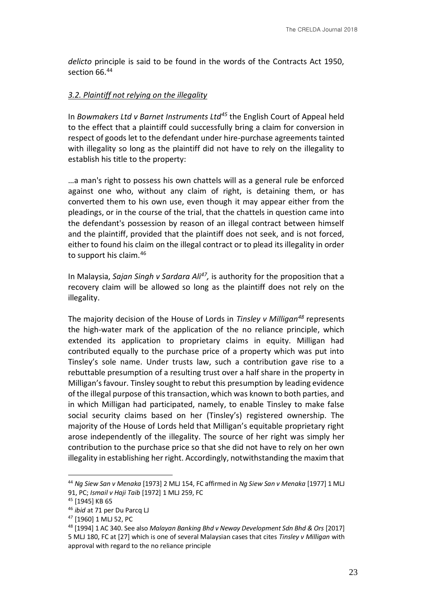*delicto* principle is said to be found in the words of the Contracts Act 1950, section 66.<sup>44</sup>

### *3.2. Plaintiff not relying on the illegality*

In *Bowmakers Ltd v Barnet Instruments Ltd<sup>45</sup>* the English Court of Appeal held to the effect that a plaintiff could successfully bring a claim for conversion in respect of goods let to the defendant under hire-purchase agreements tainted with illegality so long as the plaintiff did not have to rely on the illegality to establish his title to the property:

…a man's right to possess his own chattels will as a general rule be enforced against one who, without any claim of right, is detaining them, or has converted them to his own use, even though it may appear either from the pleadings, or in the course of the trial, that the chattels in question came into the defendant's possession by reason of an illegal contract between himself and the plaintiff, provided that the plaintiff does not seek, and is not forced, either to found his claim on the illegal contract or to plead its illegality in order to support his claim.<sup>46</sup>

In Malaysia, *Sajan Singh v Sardara Ali<sup>47</sup> ,* is authority for the proposition that a recovery claim will be allowed so long as the plaintiff does not rely on the illegality.

The majority decision of the House of Lords in *Tinsley v Milligan<sup>48</sup>* represents the high-water mark of the application of the no reliance principle, which extended its application to proprietary claims in equity. Milligan had contributed equally to the purchase price of a property which was put into Tinsley's sole name. Under trusts law, such a contribution gave rise to a rebuttable presumption of a resulting trust over a half share in the property in Milligan's favour. Tinsley sought to rebut this presumption by leading evidence of the illegal purpose of this transaction, which was known to both parties, and in which Milligan had participated, namely, to enable Tinsley to make false social security claims based on her (Tinsley's) registered ownership. The majority of the House of Lords held that Milligan's equitable proprietary right arose independently of the illegality. The source of her right was simply her contribution to the purchase price so that she did not have to rely on her own illegality in establishing her right. Accordingly, notwithstanding the maxim that

<sup>44</sup> *Ng Siew San v Menaka* [1973] 2 MLJ 154, FC affirmed in *Ng Siew San v Menaka* [1977] 1 MLJ 91, PC; *Ismail v Haji Taib* [1972] 1 MLJ 259, FC

<sup>45</sup> [1945] KB 65

<sup>46</sup> *ibid* at 71 per Du Parcq LJ

<sup>47</sup> [1960] 1 MLJ 52, PC

<sup>48</sup> [1994] 1 AC 340. See also *Malayan Banking Bhd v Neway Development Sdn Bhd & Ors* [2017] 5 MLJ 180, FC at [27] which is one of several Malaysian cases that cites *Tinsley v Milligan* with approval with regard to the no reliance principle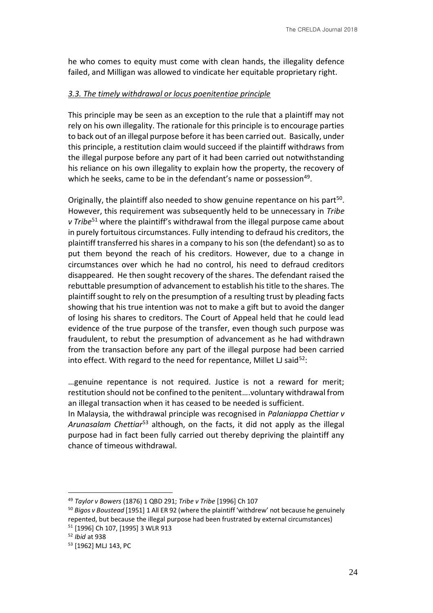he who comes to equity must come with clean hands, the illegality defence failed, and Milligan was allowed to vindicate her equitable proprietary right.

#### *3.3. The timely withdrawal or locus poenitentiae principle*

This principle may be seen as an exception to the rule that a plaintiff may not rely on his own illegality. The rationale for this principle is to encourage parties to back out of an illegal purpose before it has been carried out. Basically, under this principle, a restitution claim would succeed if the plaintiff withdraws from the illegal purpose before any part of it had been carried out notwithstanding his reliance on his own illegality to explain how the property, the recovery of which he seeks, came to be in the defendant's name or possession<sup>49</sup>.

Originally, the plaintiff also needed to show genuine repentance on his part<sup>50</sup>. However, this requirement was subsequently held to be unnecessary in *Tribe v* Tribe<sup>51</sup> where the plaintiff's withdrawal from the illegal purpose came about in purely fortuitous circumstances. Fully intending to defraud his creditors, the plaintiff transferred his shares in a company to his son (the defendant) so as to put them beyond the reach of his creditors. However, due to a change in circumstances over which he had no control, his need to defraud creditors disappeared. He then sought recovery of the shares. The defendant raised the rebuttable presumption of advancement to establish his title to the shares. The plaintiff sought to rely on the presumption of a resulting trust by pleading facts showing that his true intention was not to make a gift but to avoid the danger of losing his shares to creditors. The Court of Appeal held that he could lead evidence of the true purpose of the transfer, even though such purpose was fraudulent, to rebut the presumption of advancement as he had withdrawn from the transaction before any part of the illegal purpose had been carried into effect. With regard to the need for repentance, Millet LJ said $52$ :

…genuine repentance is not required. Justice is not a reward for merit; restitution should not be confined to the penitent….voluntary withdrawal from an illegal transaction when it has ceased to be needed is sufficient.

In Malaysia, the withdrawal principle was recognised in *Palaniappa Chettiar v Arunasalam Chettiar*<sup>53</sup> although, on the facts, it did not apply as the illegal purpose had in fact been fully carried out thereby depriving the plaintiff any chance of timeous withdrawal.

<sup>49</sup> *Taylor v Bowers* (1876) 1 QBD 291; *Tribe v Tribe* [1996] Ch 107

<sup>50</sup> *Bigos v Boustead* [1951] 1 All ER 92 (where the plaintiff 'withdrew' not because he genuinely repented, but because the illegal purpose had been frustrated by external circumstances)

<sup>51</sup> [1996] Ch 107, [1995] 3 WLR 913

<sup>52</sup> *Ibid* at 938

<sup>53</sup> [1962] MLJ 143, PC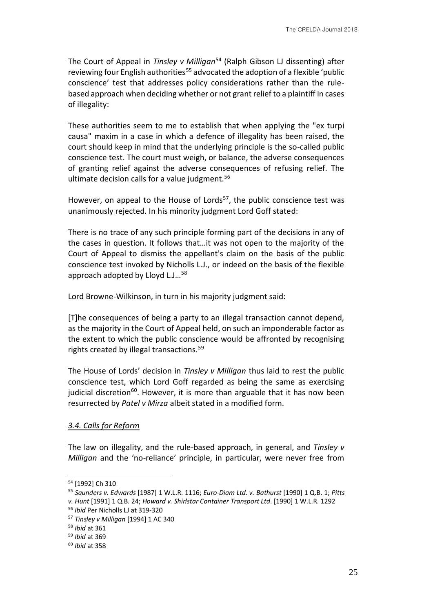The Court of Appeal in *Tinsley v Milligan*<sup>54</sup> (Ralph Gibson LJ dissenting) after reviewing four English authorities<sup>55</sup> advocated the adoption of a flexible 'public conscience' test that addresses policy considerations rather than the rulebased approach when deciding whether or not grant relief to a plaintiff in cases of illegality:

These authorities seem to me to establish that when applying the "ex turpi causa" maxim in a case in which a defence of illegality has been raised, the court should keep in mind that the underlying principle is the so-called public conscience test. The court must weigh, or balance, the adverse consequences of granting relief against the adverse consequences of refusing relief. The ultimate decision calls for a value judgment.<sup>56</sup>

However, on appeal to the House of Lords<sup>57</sup>, the public conscience test was unanimously rejected. In his minority judgment Lord Goff stated:

There is no trace of any such principle forming part of the decisions in any of the cases in question. It follows that…it was not open to the majority of the Court of Appeal to dismiss the appellant's claim on the basis of the public conscience test invoked by Nicholls L.J., or indeed on the basis of the flexible approach adopted by Lloyd L.J…<sup>58</sup>

Lord Browne-Wilkinson, in turn in his majority judgment said:

[T]he consequences of being a party to an illegal transaction cannot depend, as the majority in the Court of Appeal held, on such an imponderable factor as the extent to which the public conscience would be affronted by recognising rights created by illegal transactions.<sup>59</sup>

The House of Lords' decision in *Tinsley v Milligan* thus laid to rest the public conscience test, which Lord Goff regarded as being the same as exercising judicial discretion<sup>60</sup>. However, it is more than arguable that it has now been resurrected by *Patel v Mirza* albeit stated in a modified form.

#### *3.4. Calls for Reform*

The law on illegality, and the rule-based approach, in general, and *Tinsley v Milligan* and the 'no-reliance' principle, in particular, were never free from

<sup>54</sup> [1992] Ch 310

<sup>55</sup> *Saunders v. Edwards* [1987] 1 W.L.R. 1116; *Euro-Diam Ltd. v. Bathurst* [1990] 1 Q.B. 1; *Pitts* 

*v. Hunt* [1991] 1 Q.B. 24; *Howard v. Shirlstar Container Transport Ltd*. [1990] 1 W.L.R. 1292

<sup>56</sup> *Ibid* Per Nicholls LJ at 319-320

<sup>57</sup> *Tinsley v Milligan* [1994] 1 AC 340

<sup>58</sup> *Ibid* at 361

<sup>59</sup> *Ibid* at 369

<sup>60</sup> *Ibid* at 358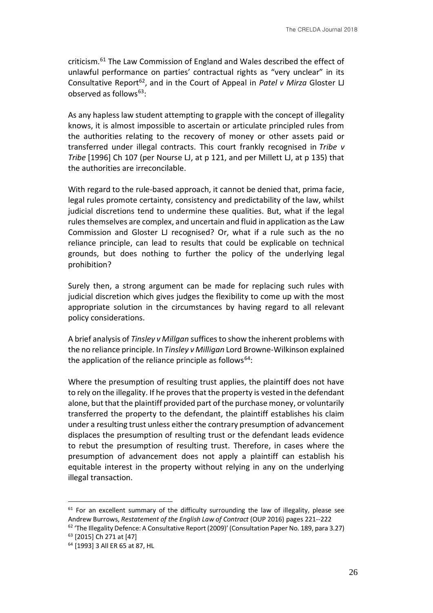criticism.<sup>61</sup> The Law Commission of England and Wales described the effect of unlawful performance on parties' contractual rights as "very unclear" in its Consultative Report<sup>62</sup>, and in the Court of Appeal in *Patel v Mirza* Gloster LJ observed as follows $63$ :

As any hapless law student attempting to grapple with the concept of illegality knows, it is almost impossible to ascertain or articulate principled rules from the authorities relating to the recovery of money or other assets paid or transferred under illegal contracts. This court frankly recognised in *Tribe v Tribe* [1996] Ch 107 (per Nourse LJ, at p 121, and per Millett LJ, at p 135) that the authorities are irreconcilable.

With regard to the rule-based approach, it cannot be denied that, prima facie, legal rules promote certainty, consistency and predictability of the law, whilst judicial discretions tend to undermine these qualities. But, what if the legal rules themselves are complex, and uncertain and fluid in application as the Law Commission and Gloster LJ recognised? Or, what if a rule such as the no reliance principle, can lead to results that could be explicable on technical grounds, but does nothing to further the policy of the underlying legal prohibition?

Surely then, a strong argument can be made for replacing such rules with judicial discretion which gives judges the flexibility to come up with the most appropriate solution in the circumstances by having regard to all relevant policy considerations.

A brief analysis of *Tinsley v Millgan* suffices to show the inherent problems with the no reliance principle. In *Tinsley v Milligan* Lord Browne-Wilkinson explained the application of the reliance principle as follows<sup>64</sup>:

Where the presumption of resulting trust applies, the plaintiff does not have to rely on the illegality. If he proves that the property is vested in the defendant alone, but that the plaintiff provided part of the purchase money, or voluntarily transferred the property to the defendant, the plaintiff establishes his claim under a resulting trust unless either the contrary presumption of advancement displaces the presumption of resulting trust or the defendant leads evidence to rebut the presumption of resulting trust. Therefore, in cases where the presumption of advancement does not apply a plaintiff can establish his equitable interest in the property without relying in any on the underlying illegal transaction.

 $61$  For an excellent summary of the difficulty surrounding the law of illegality, please see Andrew Burrows, *Restatement of the English Law of Contract* (OUP 2016) pages 221--222

 $62$  'The Illegality Defence: A Consultative Report (2009)' (Consultation Paper No. 189, para 3.27) <sup>63</sup> [2015] Ch 271 at [47]

<sup>64</sup> [1993] 3 All ER 65 at 87, HL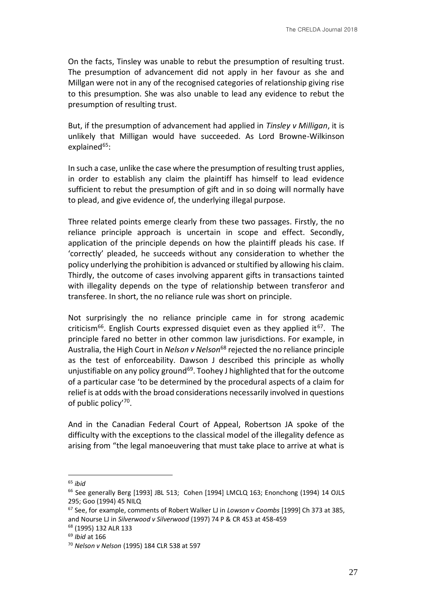On the facts, Tinsley was unable to rebut the presumption of resulting trust. The presumption of advancement did not apply in her favour as she and Millgan were not in any of the recognised categories of relationship giving rise to this presumption. She was also unable to lead any evidence to rebut the presumption of resulting trust.

But, if the presumption of advancement had applied in *Tinsley v Milligan*, it is unlikely that Milligan would have succeeded. As Lord Browne-Wilkinson explained $65$ :

In such a case, unlike the case where the presumption of resulting trust applies, in order to establish any claim the plaintiff has himself to lead evidence sufficient to rebut the presumption of gift and in so doing will normally have to plead, and give evidence of, the underlying illegal purpose.

Three related points emerge clearly from these two passages. Firstly, the no reliance principle approach is uncertain in scope and effect. Secondly, application of the principle depends on how the plaintiff pleads his case. If 'correctly' pleaded, he succeeds without any consideration to whether the policy underlying the prohibition is advanced or stultified by allowing his claim. Thirdly, the outcome of cases involving apparent gifts in transactions tainted with illegality depends on the type of relationship between transferor and transferee. In short, the no reliance rule was short on principle.

Not surprisingly the no reliance principle came in for strong academic criticism<sup>66</sup>. English Courts expressed disquiet even as they applied it<sup>67</sup>. The principle fared no better in other common law jurisdictions. For example, in Australia, the High Court in *Nelson v Nelson*<sup>68</sup> rejected the no reliance principle as the test of enforceability. Dawson J described this principle as wholly unjustifiable on any policy ground<sup>69</sup>. Toohey J highlighted that for the outcome of a particular case 'to be determined by the procedural aspects of a claim for relief is at odds with the broad considerations necessarily involved in questions of public policy'70.

And in the Canadian Federal Court of Appeal, Robertson JA spoke of the difficulty with the exceptions to the classical model of the illegality defence as arising from "the legal manoeuvering that must take place to arrive at what is

<sup>65</sup> *ibid*

<sup>66</sup> See generally Berg [1993] JBL 513; Cohen [1994] LMCLQ 163; Enonchong (1994) 14 OJLS 295; Goo (1994) 45 NILQ

<sup>67</sup> See, for example, comments of Robert Walker LJ in *Lowson v Coombs* [1999] Ch 373 at 385, and Nourse LJ in *Silverwood v Silverwood* (1997) 74 P & CR 453 at 458-459

<sup>68</sup> (1995) 132 ALR 133

<sup>69</sup> *Ibid* at 166

<sup>70</sup> *Nelson v Nelson* (1995) 184 CLR 538 at 597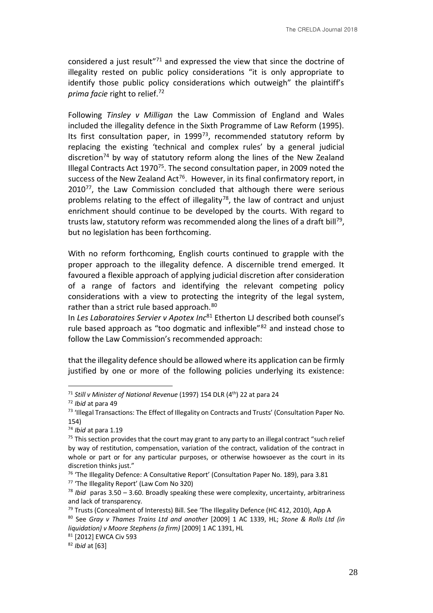considered a just result"<sup>71</sup> and expressed the view that since the doctrine of illegality rested on public policy considerations "it is only appropriate to identify those public policy considerations which outweigh" the plaintiff's *prima facie* right to relief.<sup>72</sup>

Following *Tinsley v Milligan* the Law Commission of England and Wales included the illegality defence in the Sixth Programme of Law Reform (1995). Its first consultation paper, in 1999<sup>73</sup>, recommended statutory reform by replacing the existing 'technical and complex rules' by a general judicial discretion<sup>74</sup> by way of statutory reform along the lines of the New Zealand Illegal Contracts Act 1970<sup>75</sup>. The second consultation paper, in 2009 noted the success of the New Zealand Act<sup>76</sup>. However, in its final confirmatory report, in 2010<sup>77</sup>, the Law Commission concluded that although there were serious problems relating to the effect of illegality<sup>78</sup>, the law of contract and unjust enrichment should continue to be developed by the courts. With regard to trusts law, statutory reform was recommended along the lines of a draft bill<sup>79</sup>, but no legislation has been forthcoming.

With no reform forthcoming, English courts continued to grapple with the proper approach to the illegality defence. A discernible trend emerged. It favoured a flexible approach of applying judicial discretion after consideration of a range of factors and identifying the relevant competing policy considerations with a view to protecting the integrity of the legal system, rather than a strict rule based approach.<sup>80</sup>

In *Les Laboratoires Servier v Apotex Inc*<sup>81</sup> Etherton LJ described both counsel's rule based approach as "too dogmatic and inflexible"<sup>82</sup> and instead chose to follow the Law Commission's recommended approach:

that the illegality defence should be allowed where its application can be firmly justified by one or more of the following policies underlying its existence:

<sup>&</sup>lt;sup>71</sup> Still v Minister of National Revenue (1997) 154 DLR (4<sup>th</sup>) 22 at para 24

<sup>72</sup> *Ibid* at para 49

<sup>73</sup> 'Illegal Transactions: The Effect of Illegality on Contracts and Trusts' (Consultation Paper No. 154)

<sup>74</sup> *Ibid* at para 1.19

 $75$  This section provides that the court may grant to any party to an illegal contract "such relief by way of restitution, compensation, variation of the contract, validation of the contract in whole or part or for any particular purposes, or otherwise howsoever as the court in its discretion thinks just."

 $76$  'The Illegality Defence: A Consultative Report' (Consultation Paper No. 189), para 3.81 <sup>77</sup> 'The Illegality Report' (Law Com No 320)

<sup>78</sup> *Ibid* paras 3.50 – 3.60. Broadly speaking these were complexity, uncertainty, arbitrariness and lack of transparency.

<sup>79</sup> Trusts (Concealment of Interests) Bill. See 'The Illegality Defence (HC 412, 2010), App A

<sup>80</sup> See *Gray v Thames Trains Ltd and another* [2009] 1 AC 1339, HL; *Stone & Rolls Ltd (in liquidation) v Moore Stephens (a firm)* [2009] 1 AC 1391, HL

<sup>81</sup> [2012] EWCA Civ 593

<sup>82</sup> *Ibid* at [63]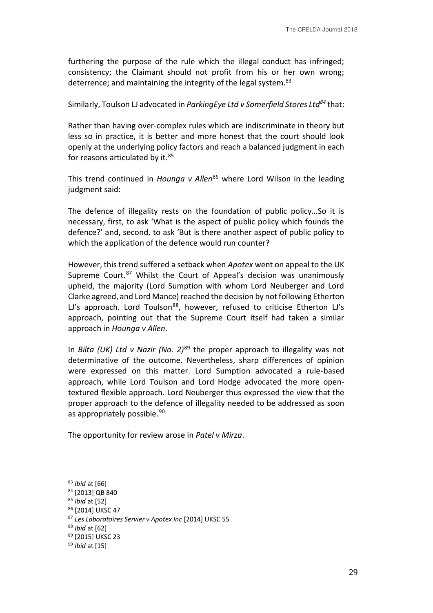furthering the purpose of the rule which the illegal conduct has infringed; consistency; the Claimant should not profit from his or her own wrong; deterrence; and maintaining the integrity of the legal system.<sup>83</sup>

Similarly, Toulson LJ advocated in *ParkingEye Ltd v Somerfield Stores Ltd<sup>84</sup>* that:

Rather than having over-complex rules which are indiscriminate in theory but less so in practice, it is better and more honest that the court should look openly at the underlying policy factors and reach a balanced judgment in each for reasons articulated by it.<sup>85</sup>

This trend continued in *Hounga v Allen<sup>86</sup>* where Lord Wilson in the leading judgment said:

The defence of illegality rests on the foundation of public policy…So it is necessary, first, to ask 'What is the aspect of public policy which founds the defence?' and, second, to ask 'But is there another aspect of public policy to which the application of the defence would run counter?

However, this trend suffered a setback when *Apotex* went on appeal to the UK Supreme Court.<sup>87</sup> Whilst the Court of Appeal's decision was unanimously upheld, the majority (Lord Sumption with whom Lord Neuberger and Lord Clarke agreed, and Lord Mance) reached the decision by not following Etherton LJ's approach. Lord Toulson<sup>88</sup>, however, refused to criticise Etherton LJ's approach, pointing out that the Supreme Court itself had taken a similar approach in *Hounga v Allen*.

In *Bilta (UK) Ltd v Nazir (No. 2)*<sup>89</sup> the proper approach to illegality was not determinative of the outcome. Nevertheless, sharp differences of opinion were expressed on this matter. Lord Sumption advocated a rule-based approach, while Lord Toulson and Lord Hodge advocated the more opentextured flexible approach. Lord Neuberger thus expressed the view that the proper approach to the defence of illegality needed to be addressed as soon as appropriately possible.<sup>90</sup>

The opportunity for review arose in *Patel v Mirza*.

<sup>83</sup> *Ibid* at [66]

<sup>84</sup> [2013] QB 840

<sup>85</sup> *Ibid* at [52]

<sup>86 [2014]</sup> UKSC 47

<sup>87</sup> *Les Laboratoires Servier v Apotex Inc* [2014] UKSC 55

<sup>88</sup> *Ibid* at [62]

<sup>89</sup> [2015] UKSC 23

<sup>90</sup> *Ibid* at [15]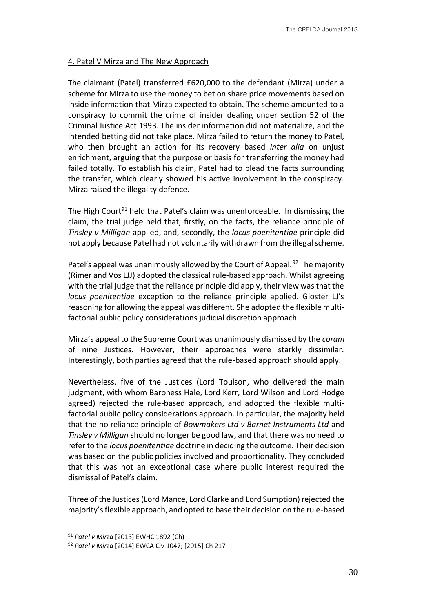#### 4. Patel V Mirza and The New Approach

The claimant (Patel) transferred £620,000 to the defendant (Mirza) under a scheme for Mirza to use the money to bet on share price movements based on inside information that Mirza expected to obtain. The scheme amounted to a conspiracy to commit the crime of insider dealing under section 52 of the Criminal Justice Act 1993. The insider information did not materialize, and the intended betting did not take place. Mirza failed to return the money to Patel, who then brought an action for its recovery based *inter alia* on unjust enrichment, arguing that the purpose or basis for transferring the money had failed totally. To establish his claim, Patel had to plead the facts surrounding the transfer, which clearly showed his active involvement in the conspiracy. Mirza raised the illegality defence.

The High Court<sup>91</sup> held that Patel's claim was unenforceable. In dismissing the claim, the trial judge held that, firstly, on the facts, the reliance principle of *Tinsley v Milligan* applied, and, secondly, the *locus poenitentiae* principle did not apply because Patel had not voluntarily withdrawn from the illegal scheme.

Patel's appeal was unanimously allowed by the Court of Appeal.<sup>92</sup> The majority (Rimer and Vos LJJ) adopted the classical rule-based approach. Whilst agreeing with the trial judge that the reliance principle did apply, their view was that the *locus poenitentiae* exception to the reliance principle applied. Gloster LJ's reasoning for allowing the appeal was different. She adopted the flexible multifactorial public policy considerations judicial discretion approach.

Mirza's appeal to the Supreme Court was unanimously dismissed by the *coram* of nine Justices. However, their approaches were starkly dissimilar. Interestingly, both parties agreed that the rule-based approach should apply.

Nevertheless, five of the Justices (Lord Toulson, who delivered the main judgment, with whom Baroness Hale, Lord Kerr, Lord Wilson and Lord Hodge agreed) rejected the rule-based approach, and adopted the flexible multifactorial public policy considerations approach. In particular, the majority held that the no reliance principle of *Bowmakers Ltd v Barnet Instruments Ltd* and *Tinsley v Milligan* should no longer be good law, and that there was no need to refer to the *locus poenitentiae* doctrine in deciding the outcome. Their decision was based on the public policies involved and proportionality. They concluded that this was not an exceptional case where public interest required the dismissal of Patel's claim.

Three of the Justices (Lord Mance, Lord Clarke and Lord Sumption) rejected the majority's flexible approach, and opted to base their decision on the rule-based

<sup>91</sup> *Patel v Mirza* [2013] EWHC 1892 (Ch)

<sup>92</sup> *Patel v Mirza* [2014] EWCA Civ 1047; [2015] Ch 217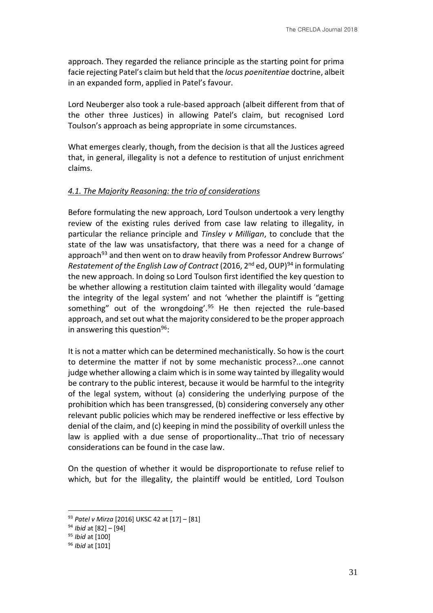approach. They regarded the reliance principle as the starting point for prima facie rejecting Patel's claim but held that the *locus poenitentiae* doctrine, albeit in an expanded form, applied in Patel's favour.

Lord Neuberger also took a rule-based approach (albeit different from that of the other three Justices) in allowing Patel's claim, but recognised Lord Toulson's approach as being appropriate in some circumstances.

What emerges clearly, though, from the decision is that all the Justices agreed that, in general, illegality is not a defence to restitution of unjust enrichment claims.

#### *4.1. The Majority Reasoning: the trio of considerations*

Before formulating the new approach, Lord Toulson undertook a very lengthy review of the existing rules derived from case law relating to illegality, in particular the reliance principle and *Tinsley v Milligan*, to conclude that the state of the law was unsatisfactory, that there was a need for a change of approach<sup>93</sup> and then went on to draw heavily from Professor Andrew Burrows' *Restatement of the English Law of Contract* (2016, 2<sup>nd</sup> ed, OUP)<sup>94</sup> in formulating the new approach. In doing so Lord Toulson first identified the key question to be whether allowing a restitution claim tainted with illegality would 'damage the integrity of the legal system' and not 'whether the plaintiff is "getting something" out of the wrongdoing'. $95$  He then rejected the rule-based approach, and set out what the majority considered to be the proper approach in answering this question  $96$ :

It is not a matter which can be determined mechanistically. So how is the court to determine the matter if not by some mechanistic process?...one cannot judge whether allowing a claim which is in some way tainted by illegality would be contrary to the public interest, because it would be harmful to the integrity of the legal system, without (a) considering the underlying purpose of the prohibition which has been transgressed, (b) considering conversely any other relevant public policies which may be rendered ineffective or less effective by denial of the claim, and (c) keeping in mind the possibility of overkill unless the law is applied with a due sense of proportionality…That trio of necessary considerations can be found in the case law.

On the question of whether it would be disproportionate to refuse relief to which, but for the illegality, the plaintiff would be entitled, Lord Toulson

<sup>93</sup> *Patel v Mirza* [2016] UKSC 42 at [17] – [81]

<sup>94</sup> *Ibid* at [82] – [94]

<sup>95</sup> *Ibid* at [100]

<sup>96</sup> *Ibid* at [101]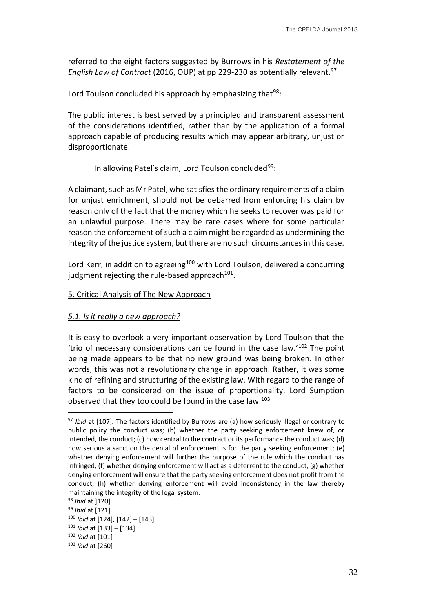referred to the eight factors suggested by Burrows in his *Restatement of the English Law of Contract (2016, OUP) at pp 229-230 as potentially relevant.<sup>97</sup>* 

Lord Toulson concluded his approach by emphasizing that $98$ :

The public interest is best served by a principled and transparent assessment of the considerations identified, rather than by the application of a formal approach capable of producing results which may appear arbitrary, unjust or disproportionate.

In allowing Patel's claim, Lord Toulson concluded<sup>99</sup>:

A claimant, such as Mr Patel, who satisfies the ordinary requirements of a claim for unjust enrichment, should not be debarred from enforcing his claim by reason only of the fact that the money which he seeks to recover was paid for an unlawful purpose. There may be rare cases where for some particular reason the enforcement of such a claim might be regarded as undermining the integrity of the justice system, but there are no such circumstances in this case.

Lord Kerr, in addition to agreeing<sup>100</sup> with Lord Toulson, delivered a concurring judgment rejecting the rule-based approach $^{101}$ .

#### 5. Critical Analysis of The New Approach

#### *5.1. Is it really a new approach?*

It is easy to overlook a very important observation by Lord Toulson that the 'trio of necessary considerations can be found in the case law.'<sup>102</sup> The point being made appears to be that no new ground was being broken. In other words, this was not a revolutionary change in approach. Rather, it was some kind of refining and structuring of the existing law. With regard to the range of factors to be considered on the issue of proportionality, Lord Sumption observed that they too could be found in the case law.<sup>103</sup>

<sup>97</sup> *Ibid* at [107]. The factors identified by Burrows are (a) how seriously illegal or contrary to public policy the conduct was; (b) whether the party seeking enforcement knew of, or intended, the conduct; (c) how central to the contract or its performance the conduct was; (d) how serious a sanction the denial of enforcement is for the party seeking enforcement; (e) whether denying enforcement will further the purpose of the rule which the conduct has infringed; (f) whether denying enforcement will act as a deterrent to the conduct; (g) whether denying enforcement will ensure that the party seeking enforcement does not profit from the conduct; (h) whether denying enforcement will avoid inconsistency in the law thereby maintaining the integrity of the legal system.

<sup>98</sup> *Ibid* at ]120]

<sup>99</sup> *Ibid* at [121]

<sup>100</sup> *Ibid* at [124], [142] – [143]

<sup>101</sup> *Ibid* at [133] – [134]

<sup>102</sup> *Ibid* at [101]

<sup>103</sup> *Ibid* at [260]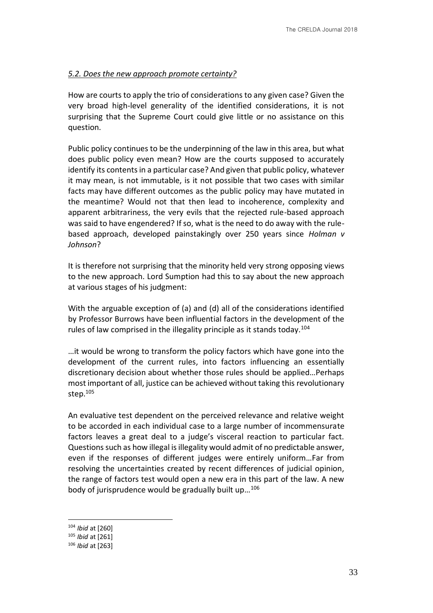## *5.2. Does the new approach promote certainty?*

How are courts to apply the trio of considerations to any given case? Given the very broad high-level generality of the identified considerations, it is not surprising that the Supreme Court could give little or no assistance on this question.

Public policy continues to be the underpinning of the law in this area, but what does public policy even mean? How are the courts supposed to accurately identify its contents in a particular case? And given that public policy, whatever it may mean, is not immutable, is it not possible that two cases with similar facts may have different outcomes as the public policy may have mutated in the meantime? Would not that then lead to incoherence, complexity and apparent arbitrariness, the very evils that the rejected rule-based approach was said to have engendered? If so, what is the need to do away with the rulebased approach, developed painstakingly over 250 years since *Holman v Johnson*?

It is therefore not surprising that the minority held very strong opposing views to the new approach. Lord Sumption had this to say about the new approach at various stages of his judgment:

With the arguable exception of (a) and (d) all of the considerations identified by Professor Burrows have been influential factors in the development of the rules of law comprised in the illegality principle as it stands today.<sup>104</sup>

…it would be wrong to transform the policy factors which have gone into the development of the current rules, into factors influencing an essentially discretionary decision about whether those rules should be applied…Perhaps most important of all, justice can be achieved without taking this revolutionary step.<sup>105</sup>

An evaluative test dependent on the perceived relevance and relative weight to be accorded in each individual case to a large number of incommensurate factors leaves a great deal to a judge's visceral reaction to particular fact. Questions such as how illegal is illegality would admit of no predictable answer, even if the responses of different judges were entirely uniform…Far from resolving the uncertainties created by recent differences of judicial opinion, the range of factors test would open a new era in this part of the law. A new body of jurisprudence would be gradually built up…<sup>106</sup>

<sup>104</sup> *Ibid* at [260]

<sup>105</sup> *Ibid* at [261]

<sup>106</sup> *Ibid* at [263]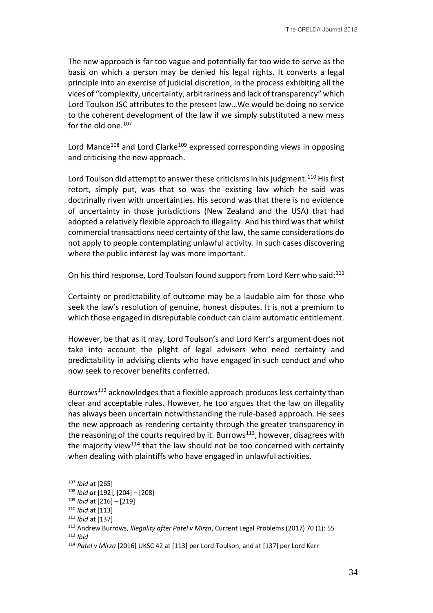The new approach is far too vague and potentially far too wide to serve as the basis on which a person may be denied his legal rights. It converts a legal principle into an exercise of judicial discretion, in the process exhibiting all the vices of "complexity, uncertainty, arbitrariness and lack of transparency" which Lord Toulson JSC attributes to the present law…We would be doing no service to the coherent development of the law if we simply substituted a new mess for the old one.<sup>107</sup>

Lord Mance<sup>108</sup> and Lord Clarke<sup>109</sup> expressed corresponding views in opposing and criticising the new approach.

Lord Toulson did attempt to answer these criticisms in his judgment.<sup>110</sup> His first retort, simply put, was that so was the existing law which he said was doctrinally riven with uncertainties. His second was that there is no evidence of uncertainty in those jurisdictions (New Zealand and the USA) that had adopted a relatively flexible approach to illegality. And his third was that whilst commercial transactions need certainty of the law, the same considerations do not apply to people contemplating unlawful activity. In such cases discovering where the public interest lay was more important.

On his third response, Lord Toulson found support from Lord Kerr who said:<sup>111</sup>

Certainty or predictability of outcome may be a laudable aim for those who seek the law's resolution of genuine, honest disputes. It is not a premium to which those engaged in disreputable conduct can claim automatic entitlement.

However, be that as it may, Lord Toulson's and Lord Kerr's argument does not take into account the plight of legal advisers who need certainty and predictability in advising clients who have engaged in such conduct and who now seek to recover benefits conferred.

Burrows<sup>112</sup> acknowledges that a flexible approach produces less certainty than clear and acceptable rules. However, he too argues that the law on illegality has always been uncertain notwithstanding the rule-based approach. He sees the new approach as rendering certainty through the greater transparency in the reasoning of the courts required by it. Burrows<sup>113</sup>, however, disagrees with the majority view<sup>114</sup> that the law should not be too concerned with certainty when dealing with plaintiffs who have engaged in unlawful activities.

<sup>107</sup> *Ibid* at [265]

<sup>108</sup> *Ibid at* [192], [204] – [208]

<sup>109</sup> *Ibid* at [216] – [219]

<sup>110</sup> *Ibid* at [113]

<sup>111</sup> *Ibid* at [137]

<sup>112</sup> Andrew Burrows, *Illegality after Patel v Mirza*, Current Legal Problems (2017) 70 (1): 55 <sup>113</sup> *Ibid*

<sup>114</sup> *Patel v Mirza* [2016] UKSC 42 at [113] per Lord Toulson, and at [137] per Lord Kerr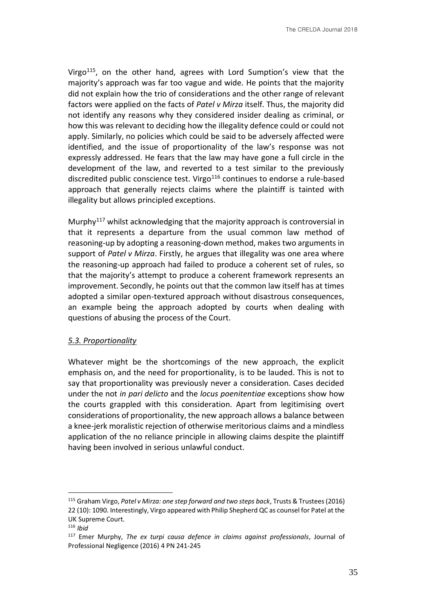Virgo<sup>115</sup>, on the other hand, agrees with Lord Sumption's view that the majority's approach was far too vague and wide. He points that the majority did not explain how the trio of considerations and the other range of relevant factors were applied on the facts of *Patel v Mirza* itself. Thus, the majority did not identify any reasons why they considered insider dealing as criminal, or how this was relevant to deciding how the illegality defence could or could not apply. Similarly, no policies which could be said to be adversely affected were identified, and the issue of proportionality of the law's response was not expressly addressed. He fears that the law may have gone a full circle in the development of the law, and reverted to a test similar to the previously discredited public conscience test. Virgo $116$  continues to endorse a rule-based approach that generally rejects claims where the plaintiff is tainted with illegality but allows principled exceptions.

Murphy<sup>117</sup> whilst acknowledging that the majority approach is controversial in that it represents a departure from the usual common law method of reasoning-up by adopting a reasoning-down method, makes two arguments in support of *Patel v Mirza*. Firstly, he argues that illegality was one area where the reasoning-up approach had failed to produce a coherent set of rules, so that the majority's attempt to produce a coherent framework represents an improvement. Secondly, he points out that the common law itself has at times adopted a similar open-textured approach without disastrous consequences, an example being the approach adopted by courts when dealing with questions of abusing the process of the Court.

#### *5.3. Proportionality*

Whatever might be the shortcomings of the new approach, the explicit emphasis on, and the need for proportionality, is to be lauded. This is not to say that proportionality was previously never a consideration. Cases decided under the not *in pari delicto* and the *locus poenitentiae* exceptions show how the courts grappled with this consideration. Apart from legitimising overt considerations of proportionality, the new approach allows a balance between a knee-jerk moralistic rejection of otherwise meritorious claims and a mindless application of the no reliance principle in allowing claims despite the plaintiff having been involved in serious unlawful conduct.

<sup>115</sup> Graham Virgo, *Patel v Mirza: one step forward and two steps back*, Trusts & Trustees (2016) 22 (10): 1090. Interestingly, Virgo appeared with Philip Shepherd QC as counsel for Patel at the UK Supreme Court.

<sup>116</sup> *Ibid*

<sup>117</sup> Emer Murphy, *The ex turpi causa defence in claims against professionals*, Journal of Professional Negligence (2016) 4 PN 241-245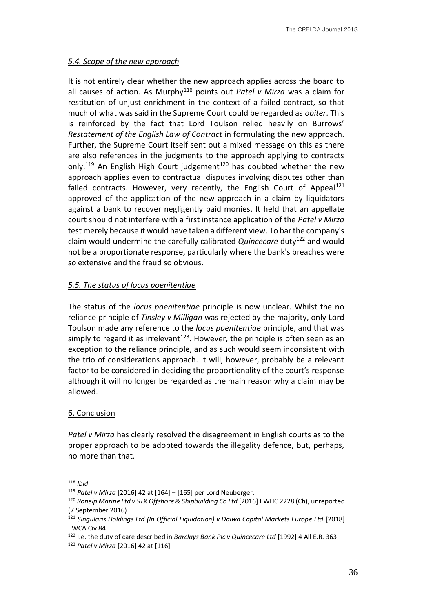### *5.4. Scope of the new approach*

It is not entirely clear whether the new approach applies across the board to all causes of action. As Murphy<sup>118</sup> points out *Patel v Mirza* was a claim for restitution of unjust enrichment in the context of a failed contract, so that much of what was said in the Supreme Court could be regarded as *obiter*. This is reinforced by the fact that Lord Toulson relied heavily on Burrows' *Restatement of the English Law of Contract* in formulating the new approach. Further, the Supreme Court itself sent out a mixed message on this as there are also references in the judgments to the approach applying to contracts only.<sup>119</sup> An English High Court judgement<sup>120</sup> has doubted whether the new approach applies even to contractual disputes involving disputes other than failed contracts. However, very recently, the English Court of Appeal<sup>121</sup> approved of the application of the new approach in a claim by liquidators against a bank to recover negligently paid monies. It held that an appellate court should not interfere with a first instance application of the *Patel v Mirza* test merely because it would have taken a different view. To bar the company's claim would undermine the carefully calibrated *Quincecare* duty<sup>122</sup> and would not be a proportionate response, particularly where the bank's breaches were so extensive and the fraud so obvious.

### *5.5. The status of locus poenitentiae*

The status of the *locus poenitentiae* principle is now unclear. Whilst the no reliance principle of *Tinsley v Milligan* was rejected by the majority, only Lord Toulson made any reference to the *locus poenitentiae* principle, and that was simply to regard it as irrelevant<sup>123</sup>. However, the principle is often seen as an exception to the reliance principle, and as such would seem inconsistent with the trio of considerations approach. It will, however, probably be a relevant factor to be considered in deciding the proportionality of the court's response although it will no longer be regarded as the main reason why a claim may be allowed.

#### 6. Conclusion

*Patel v Mirza* has clearly resolved the disagreement in English courts as to the proper approach to be adopted towards the illegality defence, but, perhaps, no more than that.

<sup>118</sup> *Ibid*

<sup>119</sup> *Patel v Mirza* [2016] 42 at [164] – [165] per Lord Neuberger.

<sup>120</sup> *Ronelp Marine Ltd v STX Offshore & Shipbuilding Co Ltd* [2016] EWHC 2228 (Ch), unreported (7 September 2016)

<sup>121</sup> *Singularis Holdings Ltd (In Official Liquidation) v Daiwa Capital Markets Europe Ltd* [2018] EWCA Civ 84

<sup>122</sup> I.e. the duty of care described in *Barclays Bank Plc v Quincecare Ltd* [1992] 4 All E.R. 363 <sup>123</sup> *Patel v Mirza* [2016] 42 at [116]